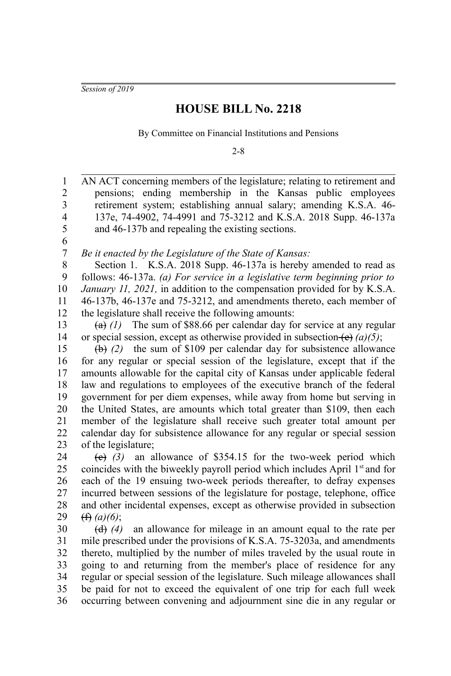*Session of 2019*

1

## **HOUSE BILL No. 2218**

By Committee on Financial Institutions and Pensions

2-8

AN ACT concerning members of the legislature; relating to retirement and

pensions; ending membership in the Kansas public employees retirement system; establishing annual salary; amending K.S.A. 46- 137e, 74-4902, 74-4991 and 75-3212 and K.S.A. 2018 Supp. 46-137a and 46-137b and repealing the existing sections. *Be it enacted by the Legislature of the State of Kansas:* Section 1. K.S.A. 2018 Supp. 46-137a is hereby amended to read as follows: 46-137a. *(a) For service in a legislative term beginning prior to January 11, 2021*, in addition to the compensation provided for by K.S.A. 46-137b, 46-137e and 75-3212, and amendments thereto, each member of the legislature shall receive the following amounts:  $(a)$  (1) The sum of \$88.66 per calendar day for service at any regular or special session, except as otherwise provided in subsection  $\left(\mathbf{e}\right)$  *(a)(5)*; (b) *(2)* the sum of \$109 per calendar day for subsistence allowance for any regular or special session of the legislature, except that if the amounts allowable for the capital city of Kansas under applicable federal law and regulations to employees of the executive branch of the federal government for per diem expenses, while away from home but serving in the United States, are amounts which total greater than \$109, then each member of the legislature shall receive such greater total amount per calendar day for subsistence allowance for any regular or special session of the legislature; (c) *(3)* an allowance of \$354.15 for the two-week period which coincides with the biweekly payroll period which includes April  $1<sup>st</sup>$  and for each of the 19 ensuing two-week periods thereafter, to defray expenses incurred between sessions of the legislature for postage, telephone, office and other incidental expenses, except as otherwise provided in subsection (f) *(a)(6)*; (d) *(4)* an allowance for mileage in an amount equal to the rate per mile prescribed under the provisions of K.S.A. 75-3203a, and amendments thereto, multiplied by the number of miles traveled by the usual route in going to and returning from the member's place of residence for any regular or special session of the legislature. Such mileage allowances shall be paid for not to exceed the equivalent of one trip for each full week occurring between convening and adjournment sine die in any regular or 2 3 4 5 6 7 8 9 10 11 12 13 14 15 16 17 18 19 20 21 22 23 24 25 26 27 28 29 30 31 32 33 34 35 36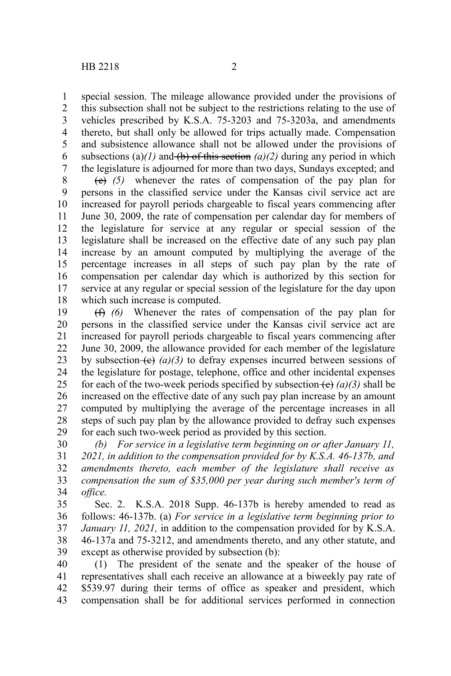special session. The mileage allowance provided under the provisions of this subsection shall not be subject to the restrictions relating to the use of vehicles prescribed by K.S.A. 75-3203 and 75-3203a, and amendments thereto, but shall only be allowed for trips actually made. Compensation and subsistence allowance shall not be allowed under the provisions of subsections (a) $(1)$  and (b) of this section  $(a)/2$ ) during any period in which the legislature is adjourned for more than two days, Sundays excepted; and 1 2 3 4 5 6 7

(e) *(5)* whenever the rates of compensation of the pay plan for persons in the classified service under the Kansas civil service act are increased for payroll periods chargeable to fiscal years commencing after June 30, 2009, the rate of compensation per calendar day for members of the legislature for service at any regular or special session of the legislature shall be increased on the effective date of any such pay plan increase by an amount computed by multiplying the average of the percentage increases in all steps of such pay plan by the rate of compensation per calendar day which is authorized by this section for service at any regular or special session of the legislature for the day upon which such increase is computed. 8 9 10 11 12 13 14 15 16 17 18

(f) *(6)* Whenever the rates of compensation of the pay plan for persons in the classified service under the Kansas civil service act are increased for payroll periods chargeable to fiscal years commencing after June 30, 2009, the allowance provided for each member of the legislature by subsection  $\left(\frac{e}{f}\right)(a)(3)$  to defray expenses incurred between sessions of the legislature for postage, telephone, office and other incidental expenses for each of the two-week periods specified by subsection  $(e)$  (a)(3) shall be increased on the effective date of any such pay plan increase by an amount computed by multiplying the average of the percentage increases in all steps of such pay plan by the allowance provided to defray such expenses for each such two-week period as provided by this section. 19 20 21 22 23 24 25 26 27 28 29

*(b) For service in a legislative term beginning on or after January 11, 2021, in addition to the compensation provided for by K.S.A. 46-137b, and amendments thereto, each member of the legislature shall receive as compensation the sum of \$35,000 per year during such member's term of office.* 30 31 32 33 34

Sec. 2. K.S.A. 2018 Supp. 46-137b is hereby amended to read as follows: 46-137b. (a) *For service in a legislative term beginning prior to January 11, 2021,* in addition to the compensation provided for by K.S.A. 46-137a and 75-3212, and amendments thereto, and any other statute, and except as otherwise provided by subsection (b): 35 36 37 38 39

(1) The president of the senate and the speaker of the house of representatives shall each receive an allowance at a biweekly pay rate of \$539.97 during their terms of office as speaker and president, which compensation shall be for additional services performed in connection 40 41 42 43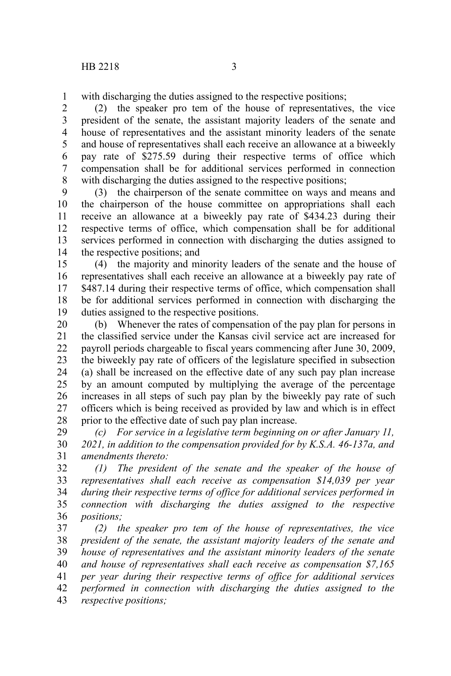with discharging the duties assigned to the respective positions; 1

(2) the speaker pro tem of the house of representatives, the vice president of the senate, the assistant majority leaders of the senate and house of representatives and the assistant minority leaders of the senate and house of representatives shall each receive an allowance at a biweekly pay rate of \$275.59 during their respective terms of office which compensation shall be for additional services performed in connection with discharging the duties assigned to the respective positions; 2 3 4 5 6 7 8

(3) the chairperson of the senate committee on ways and means and the chairperson of the house committee on appropriations shall each receive an allowance at a biweekly pay rate of \$434.23 during their respective terms of office, which compensation shall be for additional services performed in connection with discharging the duties assigned to the respective positions; and 9 10 11 12 13 14

(4) the majority and minority leaders of the senate and the house of representatives shall each receive an allowance at a biweekly pay rate of \$487.14 during their respective terms of office, which compensation shall be for additional services performed in connection with discharging the duties assigned to the respective positions. 15 16 17 18 19

(b) Whenever the rates of compensation of the pay plan for persons in the classified service under the Kansas civil service act are increased for payroll periods chargeable to fiscal years commencing after June 30, 2009, the biweekly pay rate of officers of the legislature specified in subsection (a) shall be increased on the effective date of any such pay plan increase by an amount computed by multiplying the average of the percentage increases in all steps of such pay plan by the biweekly pay rate of such officers which is being received as provided by law and which is in effect prior to the effective date of such pay plan increase. 20 21 22 23 24 25 26 27 28

*(c) For service in a legislative term beginning on or after January 11, 2021, in addition to the compensation provided for by K.S.A. 46-137a, and amendments thereto:* 29 30 31

*(1) The president of the senate and the speaker of the house of representatives shall each receive as compensation \$14,039 per year during their respective terms of office for additional services performed in connection with discharging the duties assigned to the respective positions;* 32 33 34 35 36

*(2) the speaker pro tem of the house of representatives, the vice president of the senate, the assistant majority leaders of the senate and house of representatives and the assistant minority leaders of the senate and house of representatives shall each receive as compensation \$7,165 per year during their respective terms of office for additional services performed in connection with discharging the duties assigned to the respective positions;* 37 38 39 40 41 42 43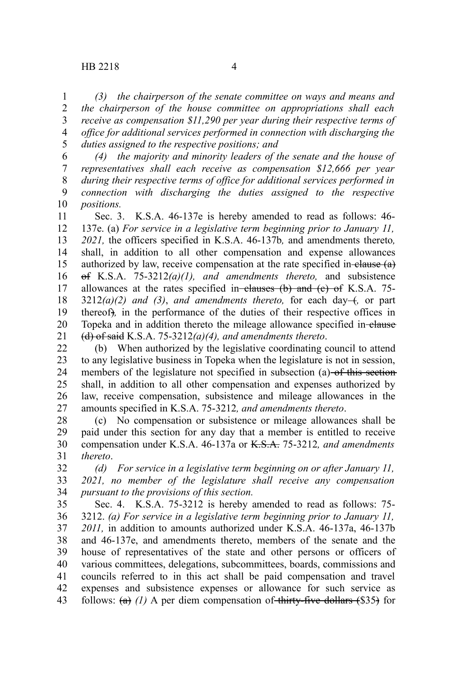*(3) the chairperson of the senate committee on ways and means and the chairperson of the house committee on appropriations shall each receive as compensation \$11,290 per year during their respective terms of office for additional services performed in connection with discharging the duties assigned to the respective positions; and* 1 2 3 4 5

*(4) the majority and minority leaders of the senate and the house of representatives shall each receive as compensation \$12,666 per year during their respective terms of office for additional services performed in connection with discharging the duties assigned to the respective positions.* 6 7 8 9 10

Sec. 3. K.S.A. 46-137e is hereby amended to read as follows: 46- 137e. (a) *For service in a legislative term beginning prior to January 11, 2021,* the officers specified in K.S.A. 46-137b*,* and amendments thereto*,* shall, in addition to all other compensation and expense allowances authorized by law, receive compensation at the rate specified in-elause  $(a)$ of K.S.A. 75-3212*(a)(1), and amendments thereto,* and subsistence allowances at the rates specified in-clauses  $(b)$  and  $(c)$  of K.S.A. 75- $3212(a)(2)$  and  $(3)$ , and amendments thereto, for each day- $\dots$  or part thereof)*,* in the performance of the duties of their respective offices in Topeka and in addition thereto the mileage allowance specified in-elause (d) of said K.S.A. 75-3212*(a)(4), and amendments thereto*. 11 12 13 14 15 16 17 18 19 20 21

(b) When authorized by the legislative coordinating council to attend to any legislative business in Topeka when the legislature is not in session, members of the legislature not specified in subsection (a) of this section shall, in addition to all other compensation and expenses authorized by law, receive compensation, subsistence and mileage allowances in the amounts specified in K.S.A. 75-3212*, and amendments thereto*. 22 23 24 25 26 27

(c) No compensation or subsistence or mileage allowances shall be paid under this section for any day that a member is entitled to receive compensation under K.S.A. 46-137a or K.S.A. 75-3212*, and amendments thereto*. 28 29 30 31

*(d) For service in a legislative term beginning on or after January 11, 2021, no member of the legislature shall receive any compensation pursuant to the provisions of this section.* 32 33 34

Sec. 4. K.S.A. 75-3212 is hereby amended to read as follows: 75- 3212. *(a) For service in a legislative term beginning prior to January 11, 2011,* in addition to amounts authorized under K.S.A. 46-137a, 46-137b and 46-137e, and amendments thereto, members of the senate and the house of representatives of the state and other persons or officers of various committees, delegations, subcommittees, boards, commissions and councils referred to in this act shall be paid compensation and travel expenses and subsistence expenses or allowance for such service as follows:  $(a)$  (1) A per diem compensation of thirty-five dollars  $(\$35)$  for 35 36 37 38 39 40 41 42 43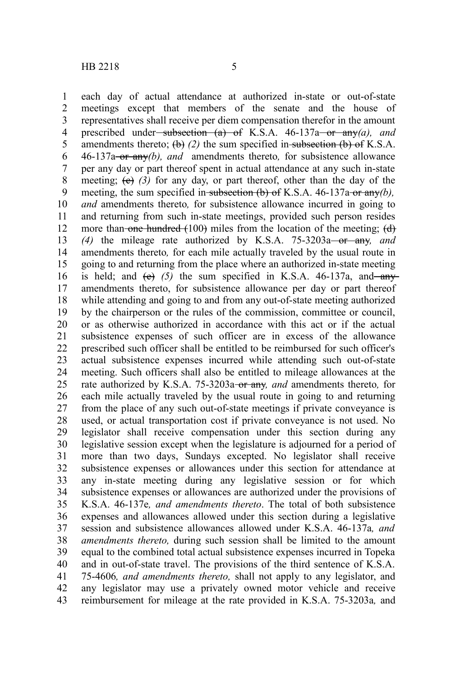each day of actual attendance at authorized in-state or out-of-state meetings except that members of the senate and the house of representatives shall receive per diem compensation therefor in the amount prescribed under<del>-subsection (a) of</del> K.S.A.  $46-137a$  or any *(a)*, and amendments thereto;  $(\theta)$  (2) the sum specified in subsection  $(\theta)$  of K.S.A. 46-137a or any*(b), and* amendments thereto*,* for subsistence allowance per any day or part thereof spent in actual attendance at any such in-state meeting;  $(e)$  (3) for any day, or part thereof, other than the day of the meeting, the sum specified in subsection (b) of K.S.A. 46-137a or any(b), *and* amendments thereto*,* for subsistence allowance incurred in going to and returning from such in-state meetings, provided such person resides more than-one hundred  $(100)$  miles from the location of the meeting;  $(d)$ *(4)* the mileage rate authorized by K.S.A. 75-3203a or any*, and* amendments thereto*,* for each mile actually traveled by the usual route in going to and returning from the place where an authorized in-state meeting is held; and  $(e)$  (5) the sum specified in K.S.A.  $46-137a$ , and any amendments thereto, for subsistence allowance per day or part thereof while attending and going to and from any out-of-state meeting authorized by the chairperson or the rules of the commission, committee or council, or as otherwise authorized in accordance with this act or if the actual subsistence expenses of such officer are in excess of the allowance prescribed such officer shall be entitled to be reimbursed for such officer's actual subsistence expenses incurred while attending such out-of-state meeting. Such officers shall also be entitled to mileage allowances at the rate authorized by K.S.A. 75-3203a-or any, and amendments thereto, for each mile actually traveled by the usual route in going to and returning from the place of any such out-of-state meetings if private conveyance is used, or actual transportation cost if private conveyance is not used. No legislator shall receive compensation under this section during any legislative session except when the legislature is adjourned for a period of more than two days, Sundays excepted. No legislator shall receive subsistence expenses or allowances under this section for attendance at any in-state meeting during any legislative session or for which subsistence expenses or allowances are authorized under the provisions of K.S.A. 46-137e*, and amendments thereto*. The total of both subsistence expenses and allowances allowed under this section during a legislative session and subsistence allowances allowed under K.S.A. 46-137a*, and amendments thereto,* during such session shall be limited to the amount equal to the combined total actual subsistence expenses incurred in Topeka and in out-of-state travel. The provisions of the third sentence of K.S.A. 75-4606*, and amendments thereto,* shall not apply to any legislator, and any legislator may use a privately owned motor vehicle and receive reimbursement for mileage at the rate provided in K.S.A. 75-3203a*,* and 1 2 3 4 5 6 7 8 9 10 11 12 13 14 15 16 17 18 19 20 21 22 23 24 25 26 27 28 29 30 31 32 33 34 35 36 37 38 39 40 41 42 43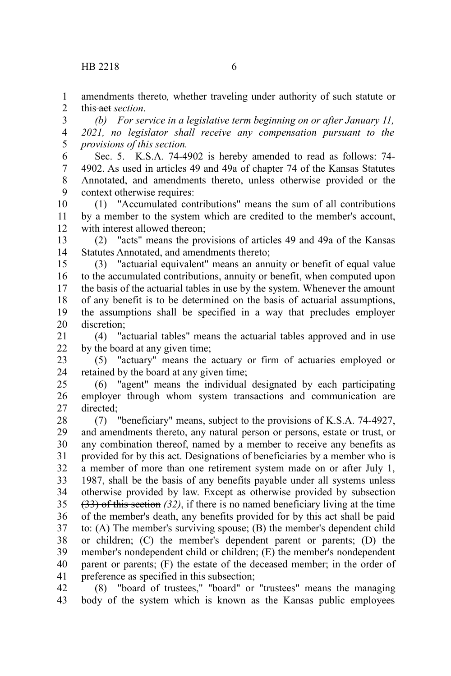amendments thereto*,* whether traveling under authority of such statute or this <del>act</del> section 1 2

*(b) For service in a legislative term beginning on or after January 11, 2021, no legislator shall receive any compensation pursuant to the provisions of this section.* 3 4 5

Sec. 5. K.S.A. 74-4902 is hereby amended to read as follows: 74- 4902. As used in articles 49 and 49a of chapter 74 of the Kansas Statutes Annotated, and amendments thereto, unless otherwise provided or the context otherwise requires: 6 7 8 9

(1) "Accumulated contributions" means the sum of all contributions by a member to the system which are credited to the member's account, with interest allowed thereon; 10 11 12

(2) "acts" means the provisions of articles 49 and 49a of the Kansas Statutes Annotated, and amendments thereto; 13 14

(3) "actuarial equivalent" means an annuity or benefit of equal value to the accumulated contributions, annuity or benefit, when computed upon the basis of the actuarial tables in use by the system. Whenever the amount of any benefit is to be determined on the basis of actuarial assumptions, the assumptions shall be specified in a way that precludes employer discretion; 15 16 17 18 19 20

(4) "actuarial tables" means the actuarial tables approved and in use by the board at any given time; 21 22

(5) "actuary" means the actuary or firm of actuaries employed or retained by the board at any given time; 23 24

(6) "agent" means the individual designated by each participating employer through whom system transactions and communication are directed; 25 26 27

(7) "beneficiary" means, subject to the provisions of K.S.A. 74-4927, and amendments thereto, any natural person or persons, estate or trust, or any combination thereof, named by a member to receive any benefits as provided for by this act. Designations of beneficiaries by a member who is a member of more than one retirement system made on or after July 1, 1987, shall be the basis of any benefits payable under all systems unless otherwise provided by law. Except as otherwise provided by subsection (33) of this section *(32)*, if there is no named beneficiary living at the time of the member's death, any benefits provided for by this act shall be paid to: (A) The member's surviving spouse; (B) the member's dependent child or children; (C) the member's dependent parent or parents; (D) the member's nondependent child or children; (E) the member's nondependent parent or parents; (F) the estate of the deceased member; in the order of preference as specified in this subsection; 28 29 30 31 32 33 34 35 36 37 38 39 40 41

(8) "board of trustees," "board" or "trustees" means the managing body of the system which is known as the Kansas public employees 42 43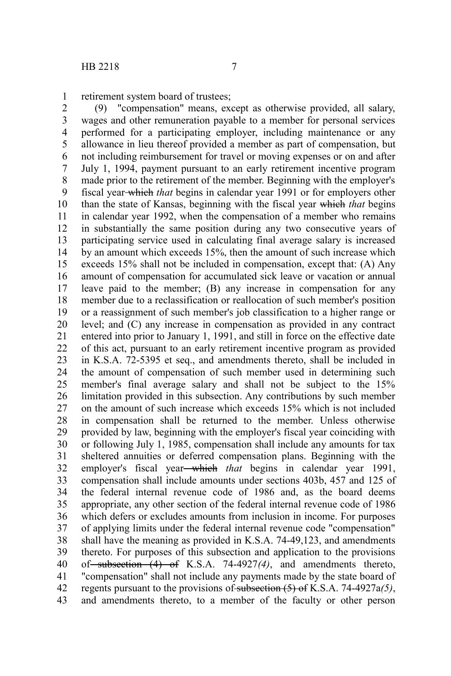retirement system board of trustees; 1

(9) "compensation" means, except as otherwise provided, all salary, wages and other remuneration payable to a member for personal services performed for a participating employer, including maintenance or any allowance in lieu thereof provided a member as part of compensation, but not including reimbursement for travel or moving expenses or on and after July 1, 1994, payment pursuant to an early retirement incentive program made prior to the retirement of the member. Beginning with the employer's fiscal year which *that* begins in calendar year 1991 or for employers other than the state of Kansas, beginning with the fiscal year which *that* begins in calendar year 1992, when the compensation of a member who remains in substantially the same position during any two consecutive years of participating service used in calculating final average salary is increased by an amount which exceeds 15%, then the amount of such increase which exceeds 15% shall not be included in compensation, except that: (A) Any amount of compensation for accumulated sick leave or vacation or annual leave paid to the member; (B) any increase in compensation for any member due to a reclassification or reallocation of such member's position or a reassignment of such member's job classification to a higher range or level; and (C) any increase in compensation as provided in any contract entered into prior to January 1, 1991, and still in force on the effective date of this act, pursuant to an early retirement incentive program as provided in K.S.A. 72-5395 et seq., and amendments thereto, shall be included in the amount of compensation of such member used in determining such member's final average salary and shall not be subject to the 15% limitation provided in this subsection. Any contributions by such member on the amount of such increase which exceeds 15% which is not included in compensation shall be returned to the member. Unless otherwise provided by law, beginning with the employer's fiscal year coinciding with or following July 1, 1985, compensation shall include any amounts for tax sheltered annuities or deferred compensation plans. Beginning with the employer's fiscal year—which *that* begins in calendar year 1991, compensation shall include amounts under sections 403b, 457 and 125 of the federal internal revenue code of 1986 and, as the board deems appropriate, any other section of the federal internal revenue code of 1986 which defers or excludes amounts from inclusion in income. For purposes of applying limits under the federal internal revenue code "compensation" shall have the meaning as provided in K.S.A. 74-49,123, and amendments thereto. For purposes of this subsection and application to the provisions of subsection (4) of K.S.A. 74-4927*(4)*, and amendments thereto, "compensation" shall not include any payments made by the state board of regents pursuant to the provisions of subsection (5) of K.S.A. 74-4927a*(5)*, and amendments thereto, to a member of the faculty or other person 2 3 4 5 6 7 8 9 10 11 12 13 14 15 16 17 18 19 20 21 22 23 24 25 26 27 28 29 30 31 32 33 34 35 36 37 38 39 40 41 42 43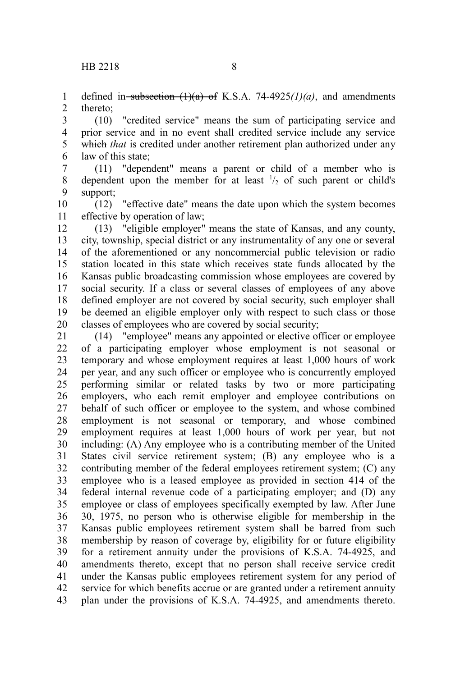defined in subsection  $(1)(a)$  of K.S.A. 74-4925 $(1)(a)$ , and amendments thereto; 1 2

(10) "credited service" means the sum of participating service and prior service and in no event shall credited service include any service which *that* is credited under another retirement plan authorized under any law of this state; 3 4 5 6

(11) "dependent" means a parent or child of a member who is dependent upon the member for at least  $\frac{1}{2}$  of such parent or child's support; 7 8 9

(12) "effective date" means the date upon which the system becomes effective by operation of law; 10 11

(13) "eligible employer" means the state of Kansas, and any county, city, township, special district or any instrumentality of any one or several of the aforementioned or any noncommercial public television or radio station located in this state which receives state funds allocated by the Kansas public broadcasting commission whose employees are covered by social security. If a class or several classes of employees of any above defined employer are not covered by social security, such employer shall be deemed an eligible employer only with respect to such class or those classes of employees who are covered by social security; 12 13 14 15 16 17 18 19 20

(14) "employee" means any appointed or elective officer or employee of a participating employer whose employment is not seasonal or temporary and whose employment requires at least 1,000 hours of work per year, and any such officer or employee who is concurrently employed performing similar or related tasks by two or more participating employers, who each remit employer and employee contributions on behalf of such officer or employee to the system, and whose combined employment is not seasonal or temporary, and whose combined employment requires at least 1,000 hours of work per year, but not including: (A) Any employee who is a contributing member of the United States civil service retirement system; (B) any employee who is a contributing member of the federal employees retirement system; (C) any employee who is a leased employee as provided in section 414 of the federal internal revenue code of a participating employer; and (D) any employee or class of employees specifically exempted by law. After June 30, 1975, no person who is otherwise eligible for membership in the Kansas public employees retirement system shall be barred from such membership by reason of coverage by, eligibility for or future eligibility for a retirement annuity under the provisions of K.S.A. 74-4925, and amendments thereto, except that no person shall receive service credit under the Kansas public employees retirement system for any period of service for which benefits accrue or are granted under a retirement annuity plan under the provisions of K.S.A. 74-4925, and amendments thereto. 21 22 23 24 25 26 27 28 29 30 31 32 33 34 35 36 37 38 39 40 41 42 43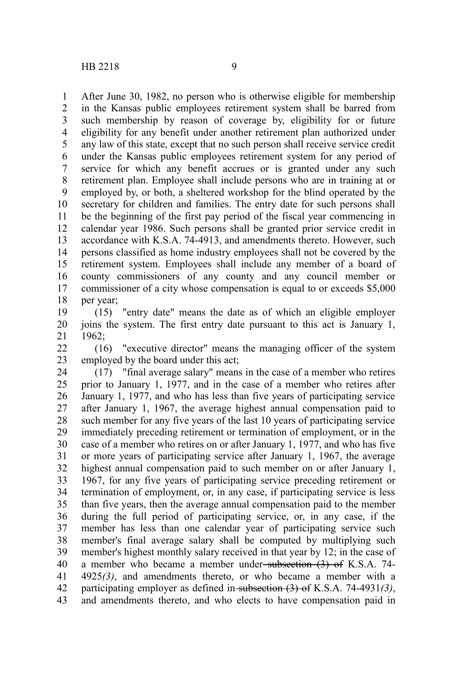After June 30, 1982, no person who is otherwise eligible for membership in the Kansas public employees retirement system shall be barred from such membership by reason of coverage by, eligibility for or future eligibility for any benefit under another retirement plan authorized under any law of this state, except that no such person shall receive service credit under the Kansas public employees retirement system for any period of service for which any benefit accrues or is granted under any such retirement plan. Employee shall include persons who are in training at or employed by, or both, a sheltered workshop for the blind operated by the secretary for children and families. The entry date for such persons shall be the beginning of the first pay period of the fiscal year commencing in calendar year 1986. Such persons shall be granted prior service credit in accordance with K.S.A. 74-4913, and amendments thereto. However, such persons classified as home industry employees shall not be covered by the retirement system. Employees shall include any member of a board of county commissioners of any county and any council member or commissioner of a city whose compensation is equal to or exceeds \$5,000 per year; 1 2 3 4 5 6 7 8 9 10 11 12 13 14 15 16 17 18

(15) "entry date" means the date as of which an eligible employer joins the system. The first entry date pursuant to this act is January 1, 1962; 19 20 21

(16) "executive director" means the managing officer of the system employed by the board under this act; 22 23

(17) "final average salary" means in the case of a member who retires prior to January 1, 1977, and in the case of a member who retires after January 1, 1977, and who has less than five years of participating service after January 1, 1967, the average highest annual compensation paid to such member for any five years of the last 10 years of participating service immediately preceding retirement or termination of employment, or in the case of a member who retires on or after January 1, 1977, and who has five or more years of participating service after January 1, 1967, the average highest annual compensation paid to such member on or after January 1, 1967, for any five years of participating service preceding retirement or termination of employment, or, in any case, if participating service is less than five years, then the average annual compensation paid to the member during the full period of participating service, or, in any case, if the member has less than one calendar year of participating service such member's final average salary shall be computed by multiplying such member's highest monthly salary received in that year by 12; in the case of a member who became a member under-subsection (3) of K.S.A. 74-4925*(3)*, and amendments thereto, or who became a member with a participating employer as defined in subsection (3) of K.S.A. 74-4931*(3)*, and amendments thereto, and who elects to have compensation paid in 24 25 26 27 28 29 30 31 32 33 34 35 36 37 38 39 40 41 42 43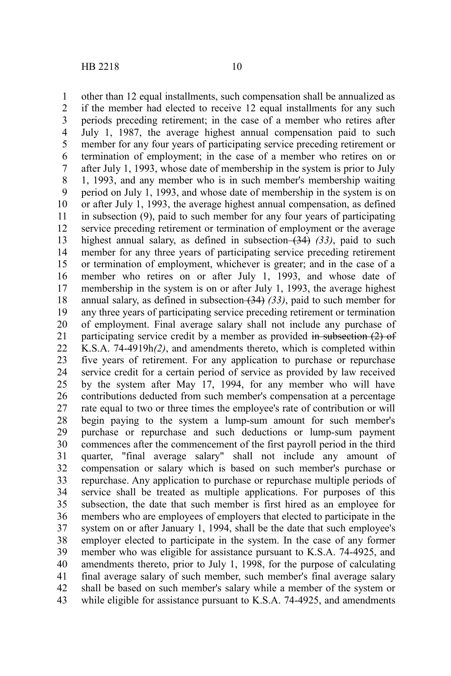other than 12 equal installments, such compensation shall be annualized as if the member had elected to receive 12 equal installments for any such periods preceding retirement; in the case of a member who retires after July 1, 1987, the average highest annual compensation paid to such member for any four years of participating service preceding retirement or termination of employment; in the case of a member who retires on or after July 1, 1993, whose date of membership in the system is prior to July 1, 1993, and any member who is in such member's membership waiting period on July 1, 1993, and whose date of membership in the system is on or after July 1, 1993, the average highest annual compensation, as defined in subsection (9), paid to such member for any four years of participating service preceding retirement or termination of employment or the average highest annual salary, as defined in subsection (34) (33), paid to such member for any three years of participating service preceding retirement or termination of employment, whichever is greater; and in the case of a member who retires on or after July 1, 1993, and whose date of membership in the system is on or after July 1, 1993, the average highest annual salary, as defined in subsection (34) *(33)*, paid to such member for any three years of participating service preceding retirement or termination of employment. Final average salary shall not include any purchase of participating service credit by a member as provided in subsection (2) of K.S.A. 74-4919h*(2)*, and amendments thereto, which is completed within five years of retirement. For any application to purchase or repurchase service credit for a certain period of service as provided by law received by the system after May 17, 1994, for any member who will have contributions deducted from such member's compensation at a percentage rate equal to two or three times the employee's rate of contribution or will begin paying to the system a lump-sum amount for such member's purchase or repurchase and such deductions or lump-sum payment commences after the commencement of the first payroll period in the third quarter, "final average salary" shall not include any amount of compensation or salary which is based on such member's purchase or repurchase. Any application to purchase or repurchase multiple periods of service shall be treated as multiple applications. For purposes of this subsection, the date that such member is first hired as an employee for members who are employees of employers that elected to participate in the system on or after January 1, 1994, shall be the date that such employee's employer elected to participate in the system. In the case of any former member who was eligible for assistance pursuant to K.S.A. 74-4925, and amendments thereto, prior to July 1, 1998, for the purpose of calculating final average salary of such member, such member's final average salary shall be based on such member's salary while a member of the system or while eligible for assistance pursuant to K.S.A. 74-4925, and amendments 1 2 3 4 5 6 7 8 9 10 11 12 13 14 15 16 17 18 19 20 21 22 23 24 25 26 27 28 29 30 31 32 33 34 35 36 37 38 39 40 41 42 43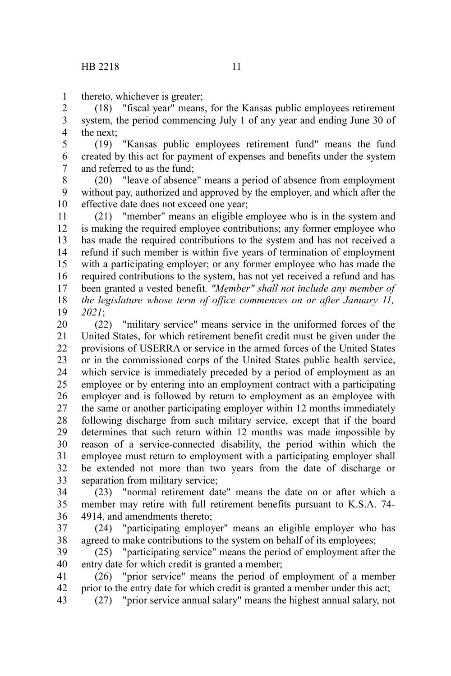thereto, whichever is greater; 1

(18) "fiscal year" means, for the Kansas public employees retirement system, the period commencing July 1 of any year and ending June 30 of the next; 2 3 4

(19) "Kansas public employees retirement fund" means the fund created by this act for payment of expenses and benefits under the system and referred to as the fund; 5 6 7

(20) "leave of absence" means a period of absence from employment without pay, authorized and approved by the employer, and which after the effective date does not exceed one year; 8 9 10

(21) "member" means an eligible employee who is in the system and is making the required employee contributions; any former employee who has made the required contributions to the system and has not received a refund if such member is within five years of termination of employment with a participating employer; or any former employee who has made the required contributions to the system, has not yet received a refund and has been granted a vested benefit*. "Member" shall not include any member of the legislature whose term of office commences on or after January 11, 2021*; 11 12 13 14 15 16 17 18 19

(22) "military service" means service in the uniformed forces of the United States, for which retirement benefit credit must be given under the provisions of USERRA or service in the armed forces of the United States or in the commissioned corps of the United States public health service, which service is immediately preceded by a period of employment as an employee or by entering into an employment contract with a participating employer and is followed by return to employment as an employee with the same or another participating employer within 12 months immediately following discharge from such military service, except that if the board determines that such return within 12 months was made impossible by reason of a service-connected disability, the period within which the employee must return to employment with a participating employer shall be extended not more than two years from the date of discharge or separation from military service; 20 21 22 23 24 25 26 27 28 29 30 31 32 33

(23) "normal retirement date" means the date on or after which a member may retire with full retirement benefits pursuant to K.S.A. 74- 4914, and amendments thereto; 34 35 36

(24) "participating employer" means an eligible employer who has agreed to make contributions to the system on behalf of its employees; 37 38

(25) "participating service" means the period of employment after the entry date for which credit is granted a member; 39 40

(26) "prior service" means the period of employment of a member prior to the entry date for which credit is granted a member under this act; 41 42

(27) "prior service annual salary" means the highest annual salary, not 43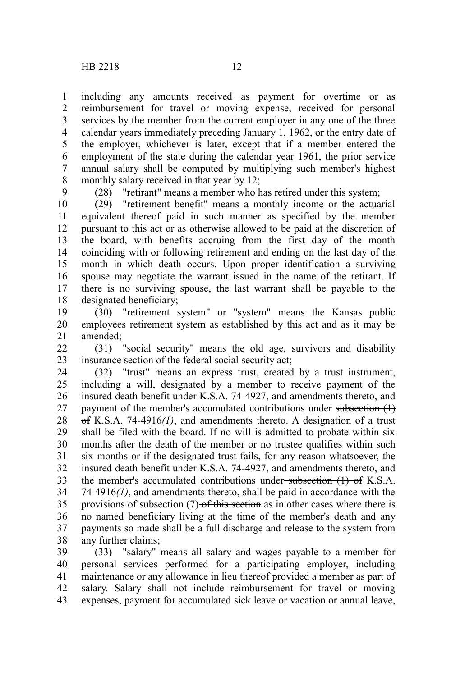including any amounts received as payment for overtime or as reimbursement for travel or moving expense, received for personal services by the member from the current employer in any one of the three calendar years immediately preceding January 1, 1962, or the entry date of the employer, whichever is later, except that if a member entered the employment of the state during the calendar year 1961, the prior service annual salary shall be computed by multiplying such member's highest monthly salary received in that year by 12; 1 2 3 4 5 6 7 8

9

(28) "retirant" means a member who has retired under this system;

(29) "retirement benefit" means a monthly income or the actuarial equivalent thereof paid in such manner as specified by the member pursuant to this act or as otherwise allowed to be paid at the discretion of the board, with benefits accruing from the first day of the month coinciding with or following retirement and ending on the last day of the month in which death occurs. Upon proper identification a surviving spouse may negotiate the warrant issued in the name of the retirant. If there is no surviving spouse, the last warrant shall be payable to the designated beneficiary; 10 11 12 13 14 15 16 17 18

(30) "retirement system" or "system" means the Kansas public employees retirement system as established by this act and as it may be amended; 19 20 21

(31) "social security" means the old age, survivors and disability insurance section of the federal social security act;  $22$ 23

(32) "trust" means an express trust, created by a trust instrument, including a will, designated by a member to receive payment of the insured death benefit under K.S.A. 74-4927, and amendments thereto, and payment of the member's accumulated contributions under subsection (1) of K.S.A. 74-4916*(1)*, and amendments thereto. A designation of a trust shall be filed with the board. If no will is admitted to probate within six months after the death of the member or no trustee qualifies within such six months or if the designated trust fails, for any reason whatsoever, the insured death benefit under K.S.A. 74-4927, and amendments thereto, and the member's accumulated contributions under-subsection (1) of K.S.A. 74-4916*(1)*, and amendments thereto, shall be paid in accordance with the provisions of subsection (7) of this section as in other cases where there is no named beneficiary living at the time of the member's death and any payments so made shall be a full discharge and release to the system from any further claims; 24 25 26 27 28 29 30 31 32 33 34 35 36 37 38

(33) "salary" means all salary and wages payable to a member for personal services performed for a participating employer, including maintenance or any allowance in lieu thereof provided a member as part of salary. Salary shall not include reimbursement for travel or moving expenses, payment for accumulated sick leave or vacation or annual leave, 39 40 41 42 43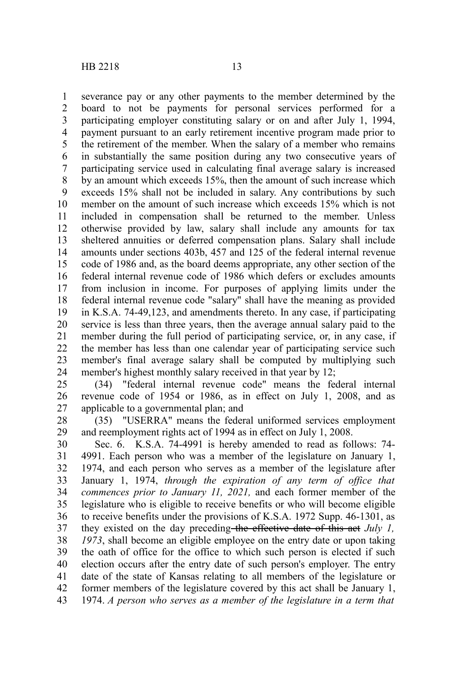severance pay or any other payments to the member determined by the board to not be payments for personal services performed for a participating employer constituting salary or on and after July 1, 1994, payment pursuant to an early retirement incentive program made prior to the retirement of the member. When the salary of a member who remains in substantially the same position during any two consecutive years of participating service used in calculating final average salary is increased by an amount which exceeds 15%, then the amount of such increase which exceeds 15% shall not be included in salary. Any contributions by such member on the amount of such increase which exceeds 15% which is not included in compensation shall be returned to the member. Unless otherwise provided by law, salary shall include any amounts for tax sheltered annuities or deferred compensation plans. Salary shall include amounts under sections 403b, 457 and 125 of the federal internal revenue code of 1986 and, as the board deems appropriate, any other section of the federal internal revenue code of 1986 which defers or excludes amounts from inclusion in income. For purposes of applying limits under the federal internal revenue code "salary" shall have the meaning as provided in K.S.A. 74-49,123, and amendments thereto. In any case, if participating service is less than three years, then the average annual salary paid to the member during the full period of participating service, or, in any case, if the member has less than one calendar year of participating service such member's final average salary shall be computed by multiplying such 1 2 3 4 5 6 7 8 9 10 11 12 13 14 15 16 17 18 19 20 21 22 23

member's highest monthly salary received in that year by 12; (34) "federal internal revenue code" means the federal internal 24 25 26

revenue code of 1954 or 1986, as in effect on July 1, 2008, and as applicable to a governmental plan; and 27

(35) "USERRA" means the federal uniformed services employment and reemployment rights act of 1994 as in effect on July 1, 2008. 28 29

Sec. 6. K.S.A. 74-4991 is hereby amended to read as follows: 74- 4991. Each person who was a member of the legislature on January 1, 1974, and each person who serves as a member of the legislature after January 1, 1974, *through the expiration of any term of office that commences prior to January 11, 2021,* and each former member of the legislature who is eligible to receive benefits or who will become eligible to receive benefits under the provisions of K.S.A. 1972 Supp. 46-1301, as they existed on the day preceding the effective date of this act *July 1, 1973*, shall become an eligible employee on the entry date or upon taking the oath of office for the office to which such person is elected if such election occurs after the entry date of such person's employer. The entry date of the state of Kansas relating to all members of the legislature or former members of the legislature covered by this act shall be January 1, 1974. *A person who serves as a member of the legislature in a term that* 30 31 32 33 34 35 36 37 38 39 40 41 42 43